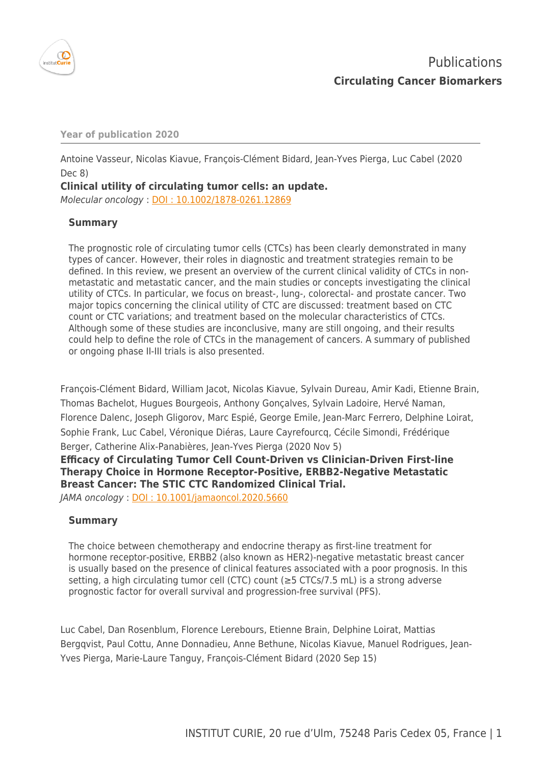

**Year of publication 2020**

Antoine Vasseur, Nicolas Kiavue, François-Clément Bidard, Jean-Yves Pierga, Luc Cabel (2020 Dec 8)

**Clinical utility of circulating tumor cells: an update.**

Molecular oncology : [DOI : 10.1002/1878-0261.12869](http://dx.doi.org/10.1002/1878-0261.12869)

# **Summary**

The prognostic role of circulating tumor cells (CTCs) has been clearly demonstrated in many types of cancer. However, their roles in diagnostic and treatment strategies remain to be defined. In this review, we present an overview of the current clinical validity of CTCs in nonmetastatic and metastatic cancer, and the main studies or concepts investigating the clinical utility of CTCs. In particular, we focus on breast-, lung-, colorectal- and prostate cancer. Two major topics concerning the clinical utility of CTC are discussed: treatment based on CTC count or CTC variations; and treatment based on the molecular characteristics of CTCs. Although some of these studies are inconclusive, many are still ongoing, and their results could help to define the role of CTCs in the management of cancers. A summary of published or ongoing phase II-III trials is also presented.

François-Clément Bidard, William Jacot, Nicolas Kiavue, Sylvain Dureau, Amir Kadi, Etienne Brain, Thomas Bachelot, Hugues Bourgeois, Anthony Gonçalves, Sylvain Ladoire, Hervé Naman, Florence Dalenc, Joseph Gligorov, Marc Espié, George Emile, Jean-Marc Ferrero, Delphine Loirat, Sophie Frank, Luc Cabel, Véronique Diéras, Laure Cayrefourcq, Cécile Simondi, Frédérique Berger, Catherine Alix-Panabières, Jean-Yves Pierga (2020 Nov 5) **Efficacy of Circulating Tumor Cell Count-Driven vs Clinician-Driven First-line Therapy Choice in Hormone Receptor-Positive, ERBB2-Negative Metastatic Breast Cancer: The STIC CTC Randomized Clinical Trial.**

JAMA oncology : [DOI : 10.1001/jamaoncol.2020.5660](http://dx.doi.org/10.1001/jamaoncol.2020.5660)

# **Summary**

The choice between chemotherapy and endocrine therapy as first-line treatment for hormone receptor-positive, ERBB2 (also known as HER2)-negative metastatic breast cancer is usually based on the presence of clinical features associated with a poor prognosis. In this setting, a high circulating tumor cell (CTC) count (≥5 CTCs/7.5 mL) is a strong adverse prognostic factor for overall survival and progression-free survival (PFS).

Luc Cabel, Dan Rosenblum, Florence Lerebours, Etienne Brain, Delphine Loirat, Mattias Bergqvist, Paul Cottu, Anne Donnadieu, Anne Bethune, Nicolas Kiavue, Manuel Rodrigues, Jean-Yves Pierga, Marie-Laure Tanguy, François-Clément Bidard (2020 Sep 15)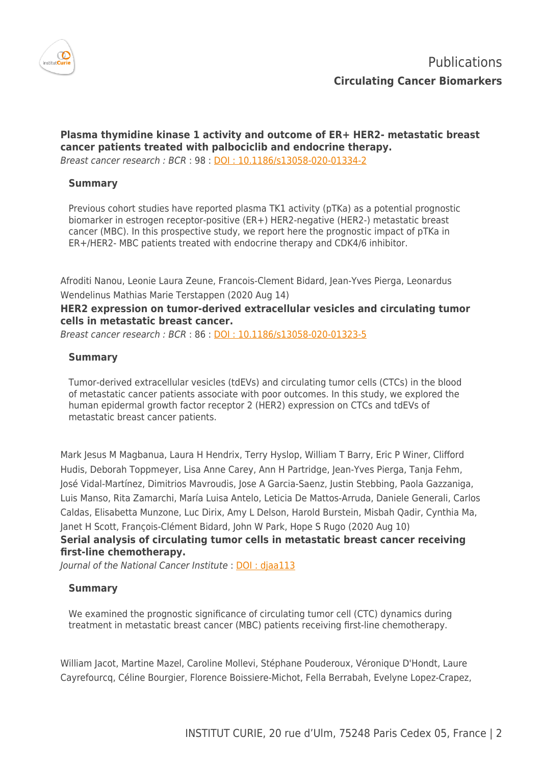

**Plasma thymidine kinase 1 activity and outcome of ER+ HER2- metastatic breast cancer patients treated with palbociclib and endocrine therapy.** Breast cancer research : BCR : 98 : [DOI : 10.1186/s13058-020-01334-2](http://dx.doi.org/10.1186/s13058-020-01334-2)

#### **Summary**

Previous cohort studies have reported plasma TK1 activity (pTKa) as a potential prognostic biomarker in estrogen receptor-positive (ER+) HER2-negative (HER2-) metastatic breast cancer (MBC). In this prospective study, we report here the prognostic impact of pTKa in ER+/HER2- MBC patients treated with endocrine therapy and CDK4/6 inhibitor.

Afroditi Nanou, Leonie Laura Zeune, Francois-Clement Bidard, Jean-Yves Pierga, Leonardus Wendelinus Mathias Marie Terstappen (2020 Aug 14)

## **HER2 expression on tumor-derived extracellular vesicles and circulating tumor cells in metastatic breast cancer.**

Breast cancer research : BCR : 86 : [DOI : 10.1186/s13058-020-01323-5](http://dx.doi.org/10.1186/s13058-020-01323-5)

## **Summary**

Tumor-derived extracellular vesicles (tdEVs) and circulating tumor cells (CTCs) in the blood of metastatic cancer patients associate with poor outcomes. In this study, we explored the human epidermal growth factor receptor 2 (HER2) expression on CTCs and tdEVs of metastatic breast cancer patients.

Mark Jesus M Magbanua, Laura H Hendrix, Terry Hyslop, William T Barry, Eric P Winer, Clifford Hudis, Deborah Toppmeyer, Lisa Anne Carey, Ann H Partridge, Jean-Yves Pierga, Tanja Fehm, José Vidal-Martínez, Dimitrios Mavroudis, Jose A Garcia-Saenz, Justin Stebbing, Paola Gazzaniga, Luis Manso, Rita Zamarchi, María Luisa Antelo, Leticia De Mattos-Arruda, Daniele Generali, Carlos Caldas, Elisabetta Munzone, Luc Dirix, Amy L Delson, Harold Burstein, Misbah Qadir, Cynthia Ma, Janet H Scott, François-Clément Bidard, John W Park, Hope S Rugo (2020 Aug 10) **Serial analysis of circulating tumor cells in metastatic breast cancer receiving first-line chemotherapy.**

Journal of the National Cancer Institute : [DOI : djaa113](http://dx.doi.org/djaa113)

#### **Summary**

We examined the prognostic significance of circulating tumor cell (CTC) dynamics during treatment in metastatic breast cancer (MBC) patients receiving first-line chemotherapy.

William Jacot, Martine Mazel, Caroline Mollevi, Stéphane Pouderoux, Véronique D'Hondt, Laure Cayrefourcq, Céline Bourgier, Florence Boissiere-Michot, Fella Berrabah, Evelyne Lopez-Crapez,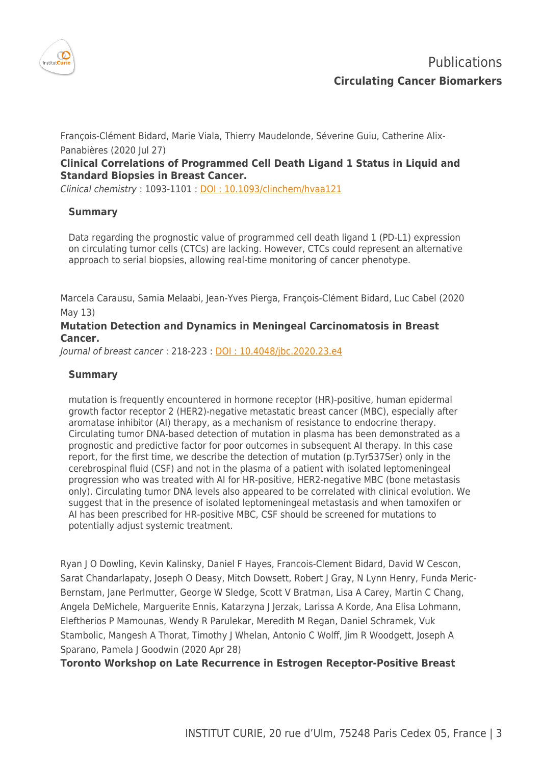

François-Clément Bidard, Marie Viala, Thierry Maudelonde, Séverine Guiu, Catherine Alix-Panabières (2020 Jul 27)

# **Clinical Correlations of Programmed Cell Death Ligand 1 Status in Liquid and Standard Biopsies in Breast Cancer.**

Clinical chemistry : 1093-1101 : [DOI : 10.1093/clinchem/hvaa121](http://dx.doi.org/10.1093/clinchem/hvaa121)

## **Summary**

Data regarding the prognostic value of programmed cell death ligand 1 (PD-L1) expression on circulating tumor cells (CTCs) are lacking. However, CTCs could represent an alternative approach to serial biopsies, allowing real-time monitoring of cancer phenotype.

Marcela Carausu, Samia Melaabi, Jean-Yves Pierga, François-Clément Bidard, Luc Cabel (2020 May 13)

## **Mutation Detection and Dynamics in Meningeal Carcinomatosis in Breast Cancer.**

Journal of breast cancer : 218-223 : [DOI : 10.4048/jbc.2020.23.e4](http://dx.doi.org/10.4048/jbc.2020.23.e4)

## **Summary**

mutation is frequently encountered in hormone receptor (HR)-positive, human epidermal growth factor receptor 2 (HER2)-negative metastatic breast cancer (MBC), especially after aromatase inhibitor (AI) therapy, as a mechanism of resistance to endocrine therapy. Circulating tumor DNA-based detection of mutation in plasma has been demonstrated as a prognostic and predictive factor for poor outcomes in subsequent AI therapy. In this case report, for the first time, we describe the detection of mutation (p.Tyr537Ser) only in the cerebrospinal fluid (CSF) and not in the plasma of a patient with isolated leptomeningeal progression who was treated with AI for HR-positive, HER2-negative MBC (bone metastasis only). Circulating tumor DNA levels also appeared to be correlated with clinical evolution. We suggest that in the presence of isolated leptomeningeal metastasis and when tamoxifen or AI has been prescribed for HR-positive MBC, CSF should be screened for mutations to potentially adjust systemic treatment.

Ryan J O Dowling, Kevin Kalinsky, Daniel F Hayes, Francois-Clement Bidard, David W Cescon, Sarat Chandarlapaty, Joseph O Deasy, Mitch Dowsett, Robert J Gray, N Lynn Henry, Funda Meric-Bernstam, Jane Perlmutter, George W Sledge, Scott V Bratman, Lisa A Carey, Martin C Chang, Angela DeMichele, Marguerite Ennis, Katarzyna J Jerzak, Larissa A Korde, Ana Elisa Lohmann, Eleftherios P Mamounas, Wendy R Parulekar, Meredith M Regan, Daniel Schramek, Vuk Stambolic, Mangesh A Thorat, Timothy J Whelan, Antonio C Wolff, Jim R Woodgett, Joseph A Sparano, Pamela J Goodwin (2020 Apr 28)

**Toronto Workshop on Late Recurrence in Estrogen Receptor-Positive Breast**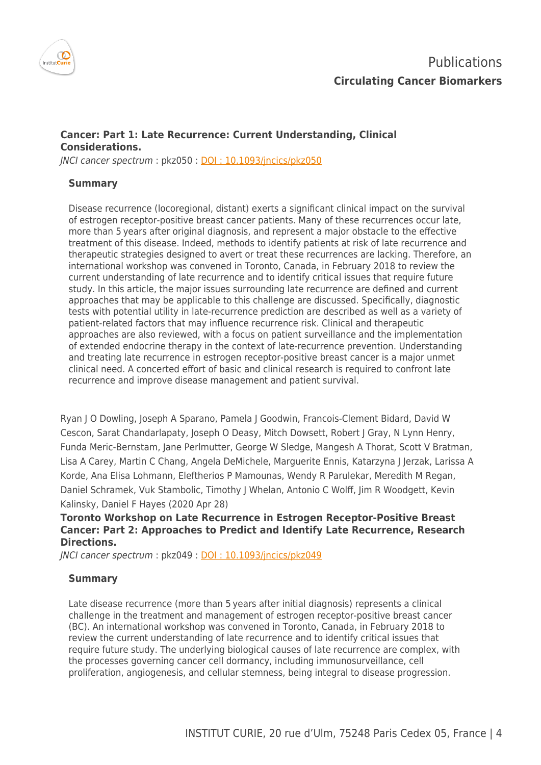

# **Cancer: Part 1: Late Recurrence: Current Understanding, Clinical Considerations.**

JNCI cancer spectrum : pkz050 : [DOI : 10.1093/jncics/pkz050](http://dx.doi.org/10.1093/jncics/pkz050)

## **Summary**

Disease recurrence (locoregional, distant) exerts a significant clinical impact on the survival of estrogen receptor-positive breast cancer patients. Many of these recurrences occur late, more than 5 years after original diagnosis, and represent a major obstacle to the effective treatment of this disease. Indeed, methods to identify patients at risk of late recurrence and therapeutic strategies designed to avert or treat these recurrences are lacking. Therefore, an international workshop was convened in Toronto, Canada, in February 2018 to review the current understanding of late recurrence and to identify critical issues that require future study. In this article, the major issues surrounding late recurrence are defined and current approaches that may be applicable to this challenge are discussed. Specifically, diagnostic tests with potential utility in late-recurrence prediction are described as well as a variety of patient-related factors that may influence recurrence risk. Clinical and therapeutic approaches are also reviewed, with a focus on patient surveillance and the implementation of extended endocrine therapy in the context of late-recurrence prevention. Understanding and treating late recurrence in estrogen receptor-positive breast cancer is a major unmet clinical need. A concerted effort of basic and clinical research is required to confront late recurrence and improve disease management and patient survival.

Ryan J O Dowling, Joseph A Sparano, Pamela J Goodwin, Francois-Clement Bidard, David W Cescon, Sarat Chandarlapaty, Joseph O Deasy, Mitch Dowsett, Robert J Gray, N Lynn Henry, Funda Meric-Bernstam, Jane Perlmutter, George W Sledge, Mangesh A Thorat, Scott V Bratman, Lisa A Carey, Martin C Chang, Angela DeMichele, Marguerite Ennis, Katarzyna J Jerzak, Larissa A Korde, Ana Elisa Lohmann, Eleftherios P Mamounas, Wendy R Parulekar, Meredith M Regan, Daniel Schramek, Vuk Stambolic, Timothy J Whelan, Antonio C Wolff, Jim R Woodgett, Kevin Kalinsky, Daniel F Hayes (2020 Apr 28)

## **Toronto Workshop on Late Recurrence in Estrogen Receptor-Positive Breast Cancer: Part 2: Approaches to Predict and Identify Late Recurrence, Research Directions.**

JNCI cancer spectrum : pkz049 : [DOI : 10.1093/jncics/pkz049](http://dx.doi.org/10.1093/jncics/pkz049)

#### **Summary**

Late disease recurrence (more than 5 years after initial diagnosis) represents a clinical challenge in the treatment and management of estrogen receptor-positive breast cancer (BC). An international workshop was convened in Toronto, Canada, in February 2018 to review the current understanding of late recurrence and to identify critical issues that require future study. The underlying biological causes of late recurrence are complex, with the processes governing cancer cell dormancy, including immunosurveillance, cell proliferation, angiogenesis, and cellular stemness, being integral to disease progression.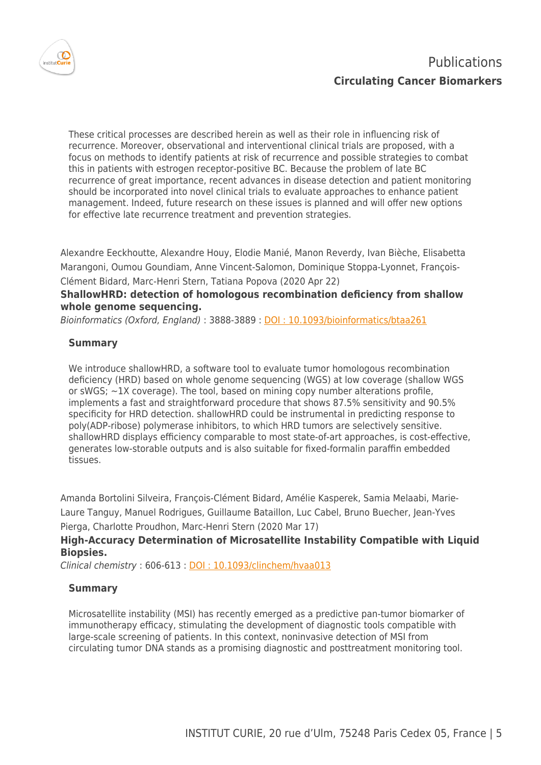

These critical processes are described herein as well as their role in influencing risk of recurrence. Moreover, observational and interventional clinical trials are proposed, with a focus on methods to identify patients at risk of recurrence and possible strategies to combat this in patients with estrogen receptor-positive BC. Because the problem of late BC recurrence of great importance, recent advances in disease detection and patient monitoring should be incorporated into novel clinical trials to evaluate approaches to enhance patient management. Indeed, future research on these issues is planned and will offer new options for effective late recurrence treatment and prevention strategies.

Alexandre Eeckhoutte, Alexandre Houy, Elodie Manié, Manon Reverdy, Ivan Bièche, Elisabetta Marangoni, Oumou Goundiam, Anne Vincent-Salomon, Dominique Stoppa-Lyonnet, François-Clément Bidard, Marc-Henri Stern, Tatiana Popova (2020 Apr 22)

# **ShallowHRD: detection of homologous recombination deficiency from shallow whole genome sequencing.**

Bioinformatics (Oxford, England): 3888-3889: DOI: 10.1093/bioinformatics/btaa261

# **Summary**

We introduce shallowHRD, a software tool to evaluate tumor homologous recombination deficiency (HRD) based on whole genome sequencing (WGS) at low coverage (shallow WGS or sWGS; ∼1X coverage). The tool, based on mining copy number alterations profile, implements a fast and straightforward procedure that shows 87.5% sensitivity and 90.5% specificity for HRD detection. shallowHRD could be instrumental in predicting response to poly(ADP-ribose) polymerase inhibitors, to which HRD tumors are selectively sensitive. shallowHRD displays efficiency comparable to most state-of-art approaches, is cost-effective, generates low-storable outputs and is also suitable for fixed-formalin paraffin embedded tissues.

Amanda Bortolini Silveira, François-Clément Bidard, Amélie Kasperek, Samia Melaabi, Marie-Laure Tanguy, Manuel Rodrigues, Guillaume Bataillon, Luc Cabel, Bruno Buecher, Jean-Yves Pierga, Charlotte Proudhon, Marc-Henri Stern (2020 Mar 17)

# **High-Accuracy Determination of Microsatellite Instability Compatible with Liquid Biopsies.**

Clinical chemistry : 606-613 : [DOI : 10.1093/clinchem/hvaa013](http://dx.doi.org/10.1093/clinchem/hvaa013)

## **Summary**

Microsatellite instability (MSI) has recently emerged as a predictive pan-tumor biomarker of immunotherapy efficacy, stimulating the development of diagnostic tools compatible with large-scale screening of patients. In this context, noninvasive detection of MSI from circulating tumor DNA stands as a promising diagnostic and posttreatment monitoring tool.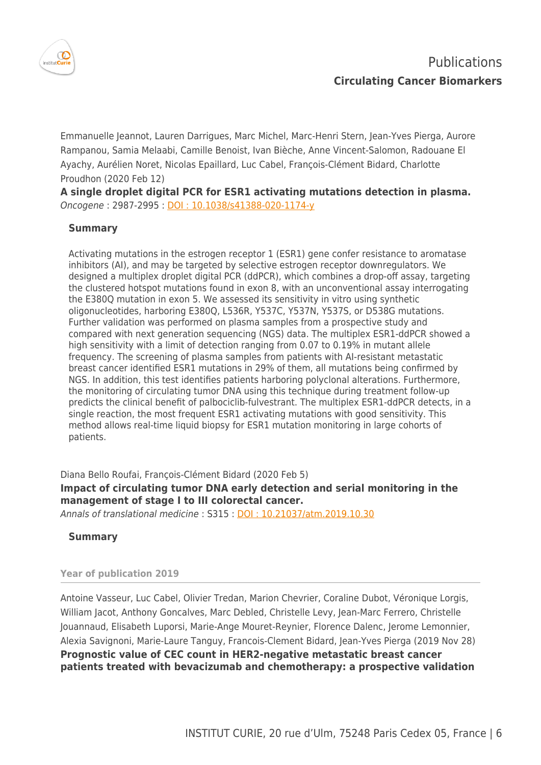

Emmanuelle Jeannot, Lauren Darrigues, Marc Michel, Marc-Henri Stern, Jean-Yves Pierga, Aurore Rampanou, Samia Melaabi, Camille Benoist, Ivan Bièche, Anne Vincent-Salomon, Radouane El Ayachy, Aurélien Noret, Nicolas Epaillard, Luc Cabel, François-Clément Bidard, Charlotte Proudhon (2020 Feb 12)

**A single droplet digital PCR for ESR1 activating mutations detection in plasma.** Oncogene : 2987-2995 : [DOI : 10.1038/s41388-020-1174-y](http://dx.doi.org/10.1038/s41388-020-1174-y)

## **Summary**

Activating mutations in the estrogen receptor 1 (ESR1) gene confer resistance to aromatase inhibitors (AI), and may be targeted by selective estrogen receptor downregulators. We designed a multiplex droplet digital PCR (ddPCR), which combines a drop-off assay, targeting the clustered hotspot mutations found in exon 8, with an unconventional assay interrogating the E380Q mutation in exon 5. We assessed its sensitivity in vitro using synthetic oligonucleotides, harboring E380Q, L536R, Y537C, Y537N, Y537S, or D538G mutations. Further validation was performed on plasma samples from a prospective study and compared with next generation sequencing (NGS) data. The multiplex ESR1-ddPCR showed a high sensitivity with a limit of detection ranging from 0.07 to 0.19% in mutant allele frequency. The screening of plasma samples from patients with AI-resistant metastatic breast cancer identified ESR1 mutations in 29% of them, all mutations being confirmed by NGS. In addition, this test identifies patients harboring polyclonal alterations. Furthermore, the monitoring of circulating tumor DNA using this technique during treatment follow-up predicts the clinical benefit of palbociclib-fulvestrant. The multiplex ESR1-ddPCR detects, in a single reaction, the most frequent ESR1 activating mutations with good sensitivity. This method allows real-time liquid biopsy for ESR1 mutation monitoring in large cohorts of patients.

Diana Bello Roufai, François-Clément Bidard (2020 Feb 5) **Impact of circulating tumor DNA early detection and serial monitoring in the management of stage I to III colorectal cancer.**

Annals of translational medicine : S315 : [DOI : 10.21037/atm.2019.10.30](http://dx.doi.org/10.21037/atm.2019.10.30)

**Summary**

#### **Year of publication 2019**

Antoine Vasseur, Luc Cabel, Olivier Tredan, Marion Chevrier, Coraline Dubot, Véronique Lorgis, William Jacot, Anthony Goncalves, Marc Debled, Christelle Levy, Jean-Marc Ferrero, Christelle Jouannaud, Elisabeth Luporsi, Marie-Ange Mouret-Reynier, Florence Dalenc, Jerome Lemonnier, Alexia Savignoni, Marie-Laure Tanguy, Francois-Clement Bidard, Jean-Yves Pierga (2019 Nov 28) **Prognostic value of CEC count in HER2-negative metastatic breast cancer patients treated with bevacizumab and chemotherapy: a prospective validation**